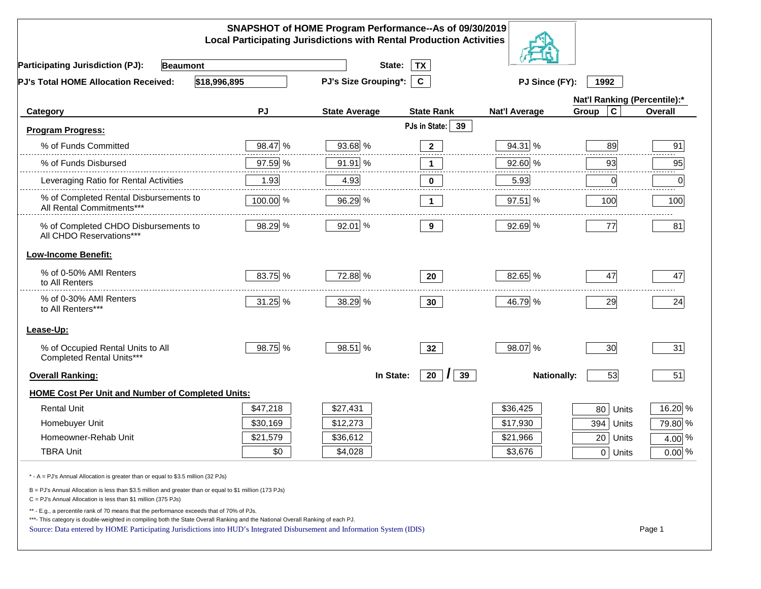|                                                                                                                                                                                                                                                                                                                                                          |          | SNAPSHOT of HOME Program Performance--As of 09/30/2019<br><b>Local Participating Jurisdictions with Rental Production Activities</b> |                      |                              |                      |          |
|----------------------------------------------------------------------------------------------------------------------------------------------------------------------------------------------------------------------------------------------------------------------------------------------------------------------------------------------------------|----------|--------------------------------------------------------------------------------------------------------------------------------------|----------------------|------------------------------|----------------------|----------|
| <b>Participating Jurisdiction (PJ):</b><br><b>Beaumont</b>                                                                                                                                                                                                                                                                                               |          | State:                                                                                                                               | <b>TX</b>            |                              |                      |          |
| \$18,996,895<br>PJ's Total HOME Allocation Received:                                                                                                                                                                                                                                                                                                     |          | PJ's Size Grouping*:                                                                                                                 | $\mathbf{c}$         | PJ Since (FY):               | 1992                 |          |
|                                                                                                                                                                                                                                                                                                                                                          |          |                                                                                                                                      |                      | Nat'l Ranking (Percentile):* |                      |          |
| Category                                                                                                                                                                                                                                                                                                                                                 | PJ       | <b>State Average</b>                                                                                                                 | <b>State Rank</b>    | <b>Nat'l Average</b>         | $\mathbf c$<br>Group | Overall  |
| <b>Program Progress:</b>                                                                                                                                                                                                                                                                                                                                 |          |                                                                                                                                      | PJs in State: 39     |                              |                      |          |
| % of Funds Committed                                                                                                                                                                                                                                                                                                                                     | 98.47 %  | 93.68 %                                                                                                                              | $\mathbf{2}$         | 94.31 %                      | 89                   | 91       |
| % of Funds Disbursed                                                                                                                                                                                                                                                                                                                                     | 97.59 %  | 91.91 %                                                                                                                              | $\mathbf 1$          | 92.60 %                      | 93                   | 95       |
| Leveraging Ratio for Rental Activities                                                                                                                                                                                                                                                                                                                   | 1.93     | 4.93                                                                                                                                 | 0                    | 5.93                         | 0                    | .<br>0   |
| % of Completed Rental Disbursements to<br>All Rental Commitments***                                                                                                                                                                                                                                                                                      | 100.00 % | 96.29 %                                                                                                                              | $\mathbf{1}$         | 97.51 %                      | 100                  | 100      |
| % of Completed CHDO Disbursements to<br>All CHDO Reservations***                                                                                                                                                                                                                                                                                         | 98.29 %  | 92.01 %                                                                                                                              | 9                    | 92.69 %                      | 77                   | 81       |
| <b>Low-Income Benefit:</b>                                                                                                                                                                                                                                                                                                                               |          |                                                                                                                                      |                      |                              |                      |          |
| % of 0-50% AMI Renters<br>to All Renters                                                                                                                                                                                                                                                                                                                 | 83.75 %  | 72.88 %                                                                                                                              | 20                   | 82.65 %                      | 47                   | 47       |
| % of 0-30% AMI Renters<br>to All Renters***                                                                                                                                                                                                                                                                                                              | 31.25 %  | 38.29 %                                                                                                                              | 30                   | 46.79 %                      | 29                   | 24       |
| Lease-Up:                                                                                                                                                                                                                                                                                                                                                |          |                                                                                                                                      |                      |                              |                      |          |
| % of Occupied Rental Units to All<br>Completed Rental Units***                                                                                                                                                                                                                                                                                           | 98.75 %  | 98.51 %                                                                                                                              | 32 <sub>2</sub>      | 98.07 %                      | 30                   | 31       |
| <b>Overall Ranking:</b>                                                                                                                                                                                                                                                                                                                                  |          | In State:                                                                                                                            | 20<br>39<br>$\prime$ | <b>Nationally:</b>           | 53                   | 51       |
| <b>HOME Cost Per Unit and Number of Completed Units:</b>                                                                                                                                                                                                                                                                                                 |          |                                                                                                                                      |                      |                              |                      |          |
| <b>Rental Unit</b>                                                                                                                                                                                                                                                                                                                                       | \$47,218 | \$27,431                                                                                                                             |                      | \$36,425                     | 80<br>Units          | 16.20 %  |
| Homebuyer Unit                                                                                                                                                                                                                                                                                                                                           | \$30,169 | \$12,273                                                                                                                             |                      | \$17,930                     | 394 Units            | 79.80 %  |
| Homeowner-Rehab Unit                                                                                                                                                                                                                                                                                                                                     | \$21,579 | \$36,612                                                                                                                             |                      | \$21,966                     | $20$ Units           | 4.00 %   |
| <b>TBRA Unit</b>                                                                                                                                                                                                                                                                                                                                         | \$0      | \$4,028                                                                                                                              |                      | \$3,676                      | $0$ Units            | $0.00\%$ |
| * - A = PJ's Annual Allocation is greater than or equal to \$3.5 million (32 PJs)                                                                                                                                                                                                                                                                        |          |                                                                                                                                      |                      |                              |                      |          |
| B = PJ's Annual Allocation is less than \$3.5 million and greater than or equal to \$1 million (173 PJs)<br>$C = PJ's$ Annual Allocation is less than \$1 million (375 PJs)                                                                                                                                                                              |          |                                                                                                                                      |                      |                              |                      |          |
| ** - E.g., a percentile rank of 70 means that the performance exceeds that of 70% of PJs.<br>***- This category is double-weighted in compiling both the State Overall Ranking and the National Overall Ranking of each PJ.<br>Source: Data entered by HOME Participating Jurisdictions into HUD's Integrated Disbursement and Information System (IDIS) |          |                                                                                                                                      |                      |                              |                      | Page 1   |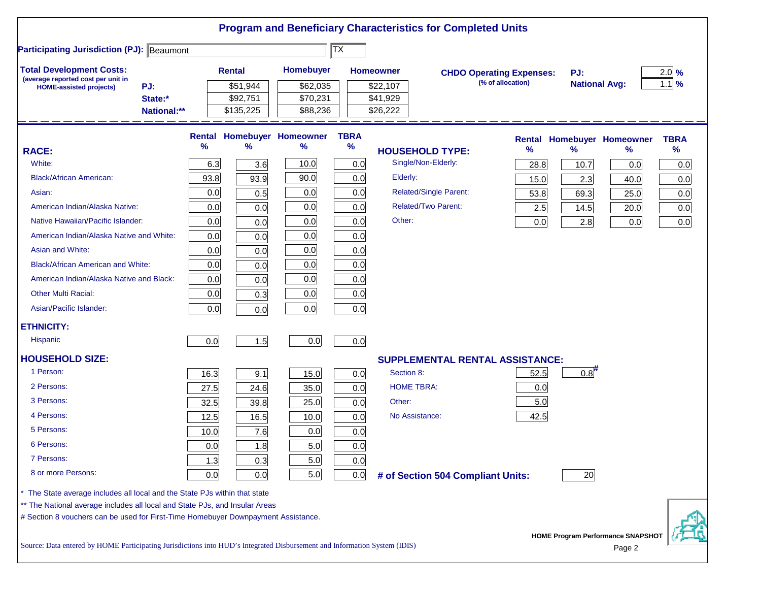|                                                                                                                           |      |               |                                   |                                     |                   | <b>Program and Beneficiary Characteristics for Completed Units</b> |                   |                      |                                                    |             |
|---------------------------------------------------------------------------------------------------------------------------|------|---------------|-----------------------------------|-------------------------------------|-------------------|--------------------------------------------------------------------|-------------------|----------------------|----------------------------------------------------|-------------|
| <b>Participating Jurisdiction (PJ): Beaumont</b>                                                                          |      |               |                                   | $ \overline{\mathsf{T}}\mathsf{X} $ |                   |                                                                    |                   |                      |                                                    |             |
| <b>Total Development Costs:</b>                                                                                           |      | <b>Rental</b> | Homebuyer                         |                                     | <b>Homeowner</b>  | <b>CHDO Operating Expenses:</b>                                    |                   | PJ:                  |                                                    | $2.0\%$     |
| (average reported cost per unit in<br>PJ:<br><b>HOME-assisted projects)</b>                                               |      | \$51,944      | \$62,035                          |                                     | \$22,107          |                                                                    | (% of allocation) | <b>National Avg:</b> |                                                    | $1.1\%$     |
| State:*                                                                                                                   |      | \$92,751      | \$70,231                          |                                     | \$41,929          |                                                                    |                   |                      |                                                    |             |
| National:**                                                                                                               |      | \$135,225     | \$88,236                          |                                     | \$26,222          |                                                                    |                   |                      |                                                    |             |
|                                                                                                                           |      |               | <b>Rental Homebuyer Homeowner</b> | <b>TBRA</b>                         |                   |                                                                    |                   |                      | <b>Rental Homebuyer Homeowner</b>                  | <b>TBRA</b> |
| <b>RACE:</b>                                                                                                              | %    | $\frac{9}{6}$ | $\%$                              | $\%$                                |                   | <b>HOUSEHOLD TYPE:</b>                                             | %                 | %                    | %                                                  | $\%$        |
| White:                                                                                                                    | 6.3  | 3.6           | 10.0                              | 0.0                                 |                   | Single/Non-Elderly:                                                | 28.8              | 10.7                 | 0.0                                                | 0.0         |
| <b>Black/African American:</b>                                                                                            | 93.8 | 93.9          | 90.0                              | 0.0                                 | Elderly:          |                                                                    | 15.0              | 2.3                  | 40.0                                               | 0.0         |
| Asian:                                                                                                                    | 0.0  | 0.5           | 0.0                               | 0.0                                 |                   | Related/Single Parent:                                             | 53.8              | 69.3                 | 25.0                                               | 0.0         |
| American Indian/Alaska Native:                                                                                            | 0.0  | 0.0           | 0.0                               | 0.0                                 |                   | <b>Related/Two Parent:</b>                                         | 2.5               | 14.5                 | 20.0                                               | 0.0         |
| Native Hawaiian/Pacific Islander:                                                                                         | 0.0  | 0.0           | 0.0                               | 0.0                                 | Other:            |                                                                    | 0.0               | 2.8                  | 0.0                                                | 0.0         |
| American Indian/Alaska Native and White:                                                                                  | 0.0  | 0.0           | 0.0                               | 0.0                                 |                   |                                                                    |                   |                      |                                                    |             |
| Asian and White:                                                                                                          | 0.0  | 0.0           | 0.0                               | 0.0                                 |                   |                                                                    |                   |                      |                                                    |             |
| <b>Black/African American and White:</b>                                                                                  | 0.0  | 0.0           | 0.0                               | 0.0                                 |                   |                                                                    |                   |                      |                                                    |             |
| American Indian/Alaska Native and Black:                                                                                  | 0.0  | 0.0           | 0.0                               | 0.0                                 |                   |                                                                    |                   |                      |                                                    |             |
| <b>Other Multi Racial:</b>                                                                                                | 0.0  | 0.3           | 0.0                               | 0.0                                 |                   |                                                                    |                   |                      |                                                    |             |
| Asian/Pacific Islander:                                                                                                   | 0.0  | 0.0           | 0.0                               | 0.0                                 |                   |                                                                    |                   |                      |                                                    |             |
| <b>ETHNICITY:</b>                                                                                                         |      |               |                                   |                                     |                   |                                                                    |                   |                      |                                                    |             |
| <b>Hispanic</b>                                                                                                           | 0.0  | 1.5           | 0.0                               | 0.0                                 |                   |                                                                    |                   |                      |                                                    |             |
| <b>HOUSEHOLD SIZE:</b>                                                                                                    |      |               |                                   |                                     |                   | <b>SUPPLEMENTAL RENTAL ASSISTANCE:</b>                             |                   |                      |                                                    |             |
| 1 Person:                                                                                                                 | 16.3 | 9.1           | 15.0                              | 0.0                                 | Section 8:        |                                                                    | 52.5              | 0.8                  |                                                    |             |
| 2 Persons:                                                                                                                | 27.5 | 24.6          | 35.0                              | 0.0                                 | <b>HOME TBRA:</b> |                                                                    | 0.0               |                      |                                                    |             |
| 3 Persons:                                                                                                                | 32.5 | 39.8          | 25.0                              | 0.0                                 | Other:            |                                                                    | 5.0               |                      |                                                    |             |
| 4 Persons:                                                                                                                | 12.5 | 16.5          | 10.0                              | 0.0                                 | No Assistance:    |                                                                    | 42.5              |                      |                                                    |             |
| 5 Persons:                                                                                                                | 10.0 | 7.6           | 0.0                               | 0.0                                 |                   |                                                                    |                   |                      |                                                    |             |
| 6 Persons:                                                                                                                | 0.0  | 1.8           | 5.0                               | 0.0                                 |                   |                                                                    |                   |                      |                                                    |             |
| 7 Persons:                                                                                                                | 1.3  | 0.3           | 5.0                               | 0.0                                 |                   |                                                                    |                   |                      |                                                    |             |
| 8 or more Persons:                                                                                                        | 0.0  | 0.0           | 5.0                               | 0.0                                 |                   | # of Section 504 Compliant Units:                                  |                   | 20                   |                                                    |             |
| * The State average includes all local and the State PJs within that state                                                |      |               |                                   |                                     |                   |                                                                    |                   |                      |                                                    |             |
| ** The National average includes all local and State PJs, and Insular Areas                                               |      |               |                                   |                                     |                   |                                                                    |                   |                      |                                                    |             |
| # Section 8 vouchers can be used for First-Time Homebuyer Downpayment Assistance.                                         |      |               |                                   |                                     |                   |                                                                    |                   |                      |                                                    |             |
| Source: Data entered by HOME Participating Jurisdictions into HUD's Integrated Disbursement and Information System (IDIS) |      |               |                                   |                                     |                   |                                                                    |                   |                      | <b>HOME Program Performance SNAPSHOT</b><br>Page 2 |             |